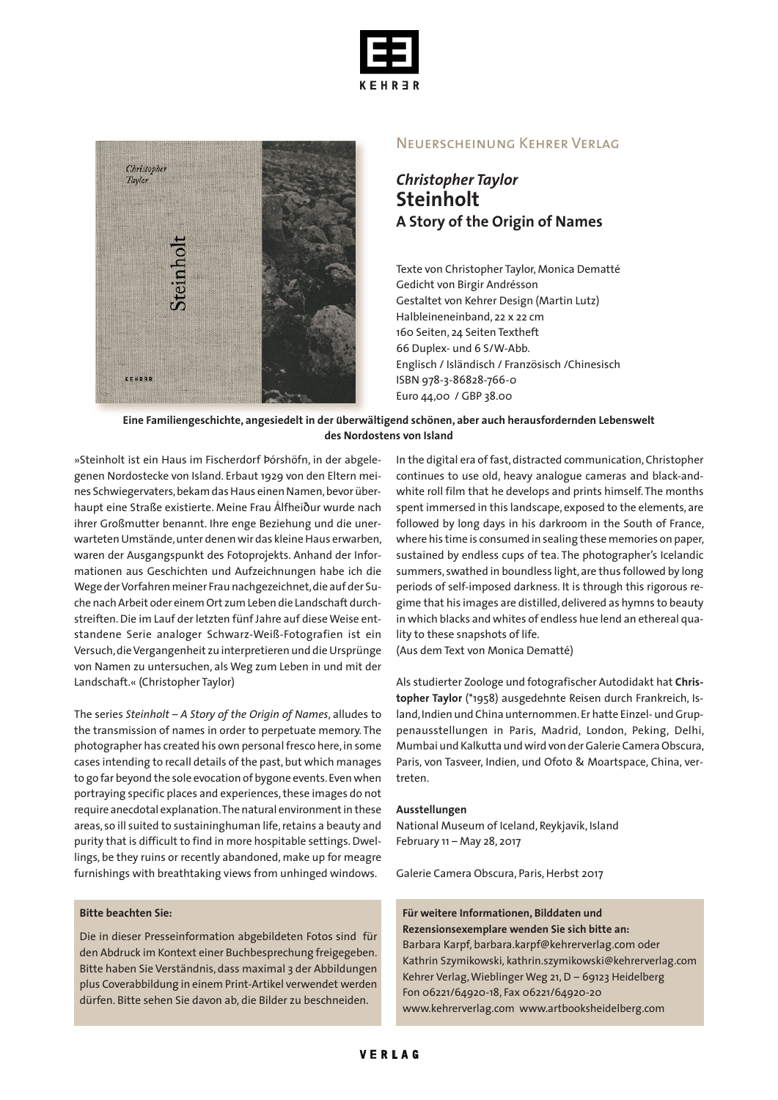



#### Neuerscheinung Kehrer Verlag

## *Christopher Taylor* **Steinholt A Story of the Origin of Names**

Texte von Christopher Taylor, Monica Dematté Gedicht von Birgir Andrésson Gestaltet von Kehrer Design (Martin Lutz) Halbleineneinband, 22 x 22 cm 160 Seiten, 24 Seiten Textheft 66 Duplex- und 6 S/W-Abb. Englisch / Isländisch / Französisch /Chinesisch ISBN 978-3-86828-766-0 Euro 44,00 / GBP 38.00

#### **Eine Familiengeschichte, angesiedelt in der u***̈***berwältigend schönen, aber auch herausfordernden Lebenswelt des Nordostens von Island**

»Steinholt ist ein Haus im Fischerdorf Þórshöfn, in der abgelegenen Nordostecke von Island. Erbaut 1929 von den Eltern meines Schwiegervaters, bekam das Haus einen Namen, bevor überhaupt eine Straße existierte. Meine Frau Álfheiður wurde nach ihrer Großmutter benannt. Ihre enge Beziehung und die unerwarteten Umstände, unter denen wir das kleine Haus erwarben, waren der Ausgangspunkt des Fotoprojekts. Anhand der Informationen aus Geschichten und Aufzeichnungen habe ich die Wege derVorfahren meiner Frau nachgezeichnet,die auf der Suche nachArbeit oder einemOrt zumLeben die Landschaft durchstreiften.Die im Lauf der letzten fünf Jahre auf dieseWeise entstandene Serie analoger Schwarz-Weiß-Fotografien ist ein Versuch,dieVergangenheit zu interpretieren und dieUrsprünge von Namen zu untersuchen, als Weg zum Leben in und mit der Landschaft.« (Christopher Taylor)

The series *Steinholt – A Story of the Origin of Names*, alludes to the transmission of names in order to perpetuate memory. The photographer has created his own personal fresco here, in some cases intending to recall details of the past, but which manages to go far beyond the sole evocation of bygone events. Even when portraying specific places and experiences, these images do not require anecdotal explanation. The natural environment in these areas, so ill suited to sustaininghuman life,retains a beauty and purity that is difficult to find in more hospitable settings.Dwellings, be they ruins or recently abandoned, make up for meagre furnishings with breathtaking views from unhinged windows.

#### **Bitte beachten Sie:**

Die in dieser Presseinformation abgebildeten Fotos sind für den Abdruck im Kontext einer Buchbesprechung freigegeben. Bitte haben Sie Verständnis, dass maximal 3 der Abbildungen plus Coverabbildung in einem Print-Artikel verwendet werden dürfen. Bitte sehen Sie davon ab, die Bilder zu beschneiden.

In the digital era of fast, distracted communication, Christopher continues to use old, heavy analogue cameras and black-andwhite roll film that he develops and prints himself. The months spent immersed in this landscape, exposed to the elements, are followed by long days in his darkroom in the South of France, where his time is consumed in sealing these memories on paper, sustained by endless cups of tea. The photographer's Icelandic summers, swathed in boundless light, are thus followed by long periods of self-imposed darkness. It is through this rigorous regime that his images are distilled, delivered as hymns to beauty in which blacks and whites of endless hue lend an ethereal quality to these snapshots of life.

(Aus dem Text von Monica Dematté)

Als studierter Zoologe und fotografischer Autodidakt hat **Christopher Taylor** (\*1958) ausgedehnte Reisen durch Frankreich, Island, Indien und China unternommen. Er hatte Einzel- und Gruppenausstellungen in Paris, Madrid, London, Peking, Delhi, Mumbai und Kalkutta undwird von derGalerie Camera Obscura, Paris, von Tasveer, Indien, und Ofoto & Moartspace, China, vertreten.

#### **Ausstellungen**

National Museum of Iceland, Reykjavík, Island February 11 – May 28, 2017

Galerie Camera Obscura, Paris, Herbst 2017

#### **Für weitere Informationen, Bilddaten und Rezensionsexemplare wenden Sie sich bitte an:**

Barbara Karpf, barbara.karpf@kehrerverlag.com oder Kathrin Szymikowski, kathrin.szymikowski@kehrerverlag.com Kehrer Verlag,Wieblinger Weg 21,D – 69123 Heidelberg Fon 06221/64920-18, Fax 06221/64920-20 www.kehrerverlag.com www.artbooksheidelberg.com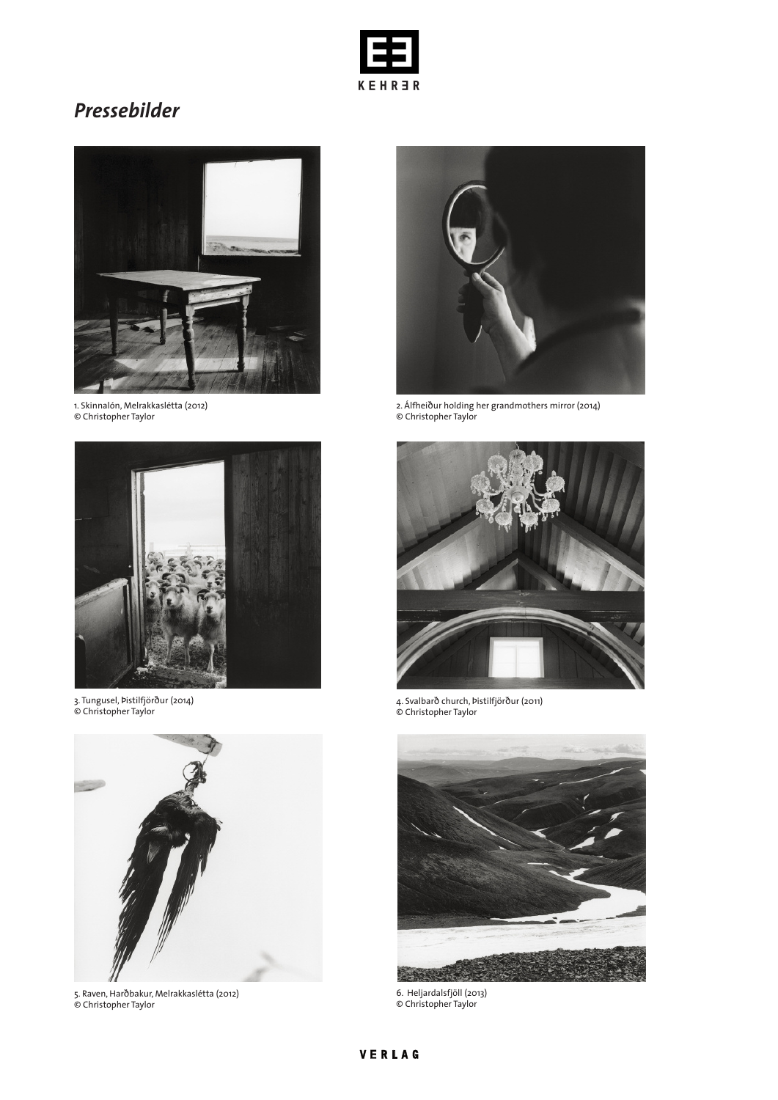

# *Pressebilder*



1. Skinnalón, Melrakkaslétta (2012) © Christopher Taylor



3. Tungusel, Þistilfjörður (2014) © Christopher Taylor



5. Raven, Harðbakur, Melrakkaslétta (2012) © Christopher Taylor



2. Álfheiður holding her grandmothers mirror (2014) © Christopher Taylor



4. Svalbarð church, Þistilfjörður (2011) © Christopher Taylor



6. Heljardalsfjöll (2013) © Christopher Taylor

## VERLAG